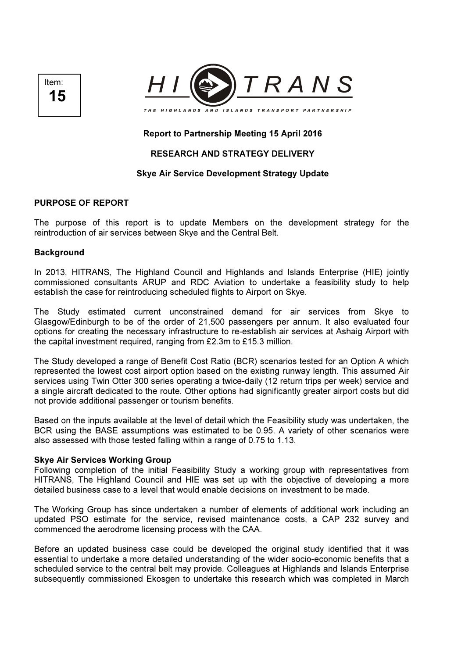



# Report to Partnership Meeting 15 April 2016

## RESEARCH AND STRATEGY DELIVERY

## Skye Air Service Development Strategy Update

## PURPOSE OF REPORT

The purpose of this report is to update Members on the development strategy for the reintroduction of air services between Skye and the Central Belt.

#### **Background**

In 2013, HITRANS, The Highland Council and Highlands and Islands Enterprise (HIE) jointly commissioned consultants ARUP and RDC Aviation to undertake a feasibility study to help establish the case for reintroducing scheduled flights to Airport on Skye.

The Study estimated current unconstrained demand for air services from Skye to Glasgow/Edinburgh to be of the order of 21,500 passengers per annum. It also evaluated four options for creating the necessary infrastructure to re-establish air services at Ashaig Airport with the capital investment required, ranging from £2.3m to £15.3 million.

The Study developed a range of Benefit Cost Ratio (BCR) scenarios tested for an Option A which represented the lowest cost airport option based on the existing runway length. This assumed Air services using Twin Otter 300 series operating a twice-daily (12 return trips per week) service and a single aircraft dedicated to the route. Other options had significantly greater airport costs but did not provide additional passenger or tourism benefits.

Based on the inputs available at the level of detail which the Feasibility study was undertaken, the BCR using the BASE assumptions was estimated to be 0.95. A variety of other scenarios were also assessed with those tested falling within a range of 0.75 to 1.13.

#### Skye Air Services Working Group

Following completion of the initial Feasibility Study a working group with representatives from HITRANS, The Highland Council and HIE was set up with the objective of developing a more detailed business case to a level that would enable decisions on investment to be made.

The Working Group has since undertaken a number of elements of additional work including an updated PSO estimate for the service, revised maintenance costs, a CAP 232 survey and commenced the aerodrome licensing process with the CAA.

Before an updated business case could be developed the original study identified that it was essential to undertake a more detailed understanding of the wider socio-economic benefits that a scheduled service to the central belt may provide. Colleagues at Highlands and Islands Enterprise subsequently commissioned Ekosgen to undertake this research which was completed in March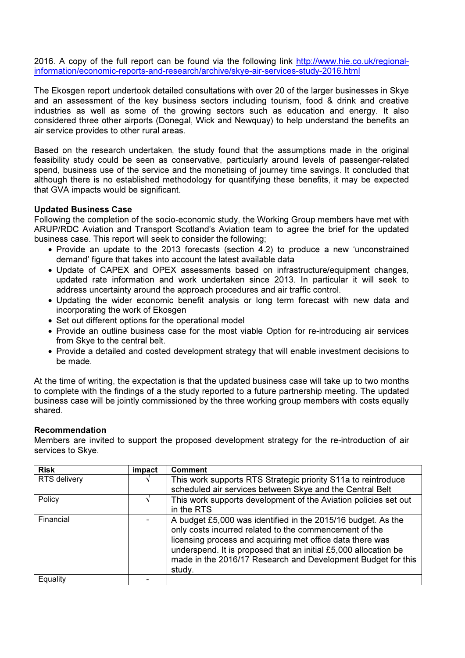2016. A copy of the full report can be found via the following link http://www.hie.co.uk/regionalinformation/economic-reports-and-research/archive/skye-air-services-study-2016.html

The Ekosgen report undertook detailed consultations with over 20 of the larger businesses in Skye and an assessment of the key business sectors including tourism, food & drink and creative industries as well as some of the growing sectors such as education and energy. It also considered three other airports (Donegal, Wick and Newquay) to help understand the benefits an air service provides to other rural areas.

Based on the research undertaken, the study found that the assumptions made in the original feasibility study could be seen as conservative, particularly around levels of passenger-related spend, business use of the service and the monetising of journey time savings. It concluded that although there is no established methodology for quantifying these benefits, it may be expected that GVA impacts would be significant.

## Updated Business Case

Following the completion of the socio-economic study, the Working Group members have met with ARUP/RDC Aviation and Transport Scotland's Aviation team to agree the brief for the updated business case. This report will seek to consider the following;

- Provide an update to the 2013 forecasts (section 4.2) to produce a new 'unconstrained demand' figure that takes into account the latest available data
- Update of CAPEX and OPEX assessments based on infrastructure/equipment changes, updated rate information and work undertaken since 2013. In particular it will seek to address uncertainty around the approach procedures and air traffic control.
- Updating the wider economic benefit analysis or long term forecast with new data and incorporating the work of Ekosgen
- Set out different options for the operational model
- Provide an outline business case for the most viable Option for re-introducing air services from Skye to the central belt.
- Provide a detailed and costed development strategy that will enable investment decisions to be made.

At the time of writing, the expectation is that the updated business case will take up to two months to complete with the findings of a the study reported to a future partnership meeting. The updated business case will be jointly commissioned by the three working group members with costs equally shared.

## Recommendation

Members are invited to support the proposed development strategy for the re-introduction of air services to Skye.

| <b>Risk</b>  | impact | <b>Comment</b>                                                                                                                                                                                                                                                                                                                   |
|--------------|--------|----------------------------------------------------------------------------------------------------------------------------------------------------------------------------------------------------------------------------------------------------------------------------------------------------------------------------------|
| RTS delivery |        | This work supports RTS Strategic priority S11a to reintroduce<br>scheduled air services between Skye and the Central Belt                                                                                                                                                                                                        |
| Policy       |        | This work supports development of the Aviation policies set out<br>in the RTS                                                                                                                                                                                                                                                    |
| Financial    |        | A budget £5,000 was identified in the 2015/16 budget. As the<br>only costs incurred related to the commencement of the<br>licensing process and acquiring met office data there was<br>underspend. It is proposed that an initial £5,000 allocation be<br>made in the 2016/17 Research and Development Budget for this<br>study. |
| Equality     |        |                                                                                                                                                                                                                                                                                                                                  |